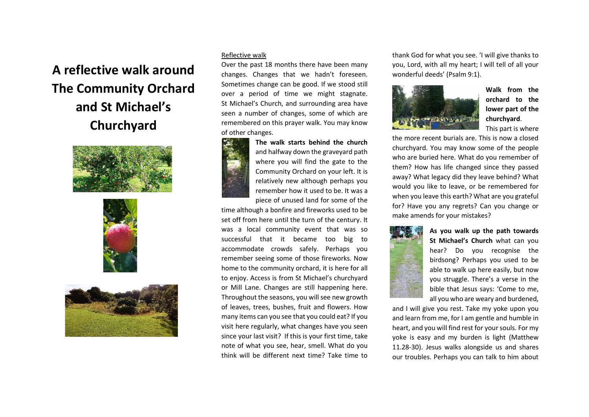## **A reflective walk around The Community Orchard and St Michael's Churchyard**







## Reflective walk

Over the past 18 months there have been many changes. Changes that we hadn't foreseen. Sometimes change can be good. If we stood still over a period of time we might stagnate. St Michael's Church, and surrounding area have seen a number of changes, some of which are remembered on this prayer walk. You may know of other changes.



**The walk starts behind the church** and halfway down the graveyard path where you will find the gate to the Community Orchard on your left. It is relatively new although perhaps you remember how it used to be. It was a piece of unused land for some of the

time although a bonfire and fireworks used to be set off from here until the turn of the century. It was a local community event that was so successful that it became too big to accommodate crowds safely. Perhaps you remember seeing some of those fireworks. Now home to the community orchard, it is here for all to enjoy. Access is from St Michael's churchyard or Mill Lane. Changes are still happening here. Throughout the seasons, you will see new growth of leaves, trees, bushes, fruit and flowers. How many items can you see that you could eat? If you visit here regularly, what changes have you seen since your last visit? If this is your first time, take note of what you see, hear, smell. What do you think will be different next time? Take time to

thank God for what you see. 'I will give thanks to you, Lord, with all my heart; I will tell of all your wonderful deeds' (Psalm 9:1).



**Walk from the orchard to the lower part of the churchyard**. . This part is where

the more recent burials are. This is now a closed churchyard. You may know some of the people who are buried here. What do you remember of them? How has life changed since they passed away? What legacy did they leave behind? What would you like to leave, or be remembered for when you leave this earth? What are you grateful for? Have you any regrets? Can you change or make amends for your mistakes?



**As you walk up the path towards St Michael's Church** what can you hear? Do you recognise the birdsong? Perhaps you used to be able to walk up here easily, but now you struggle. There's a verse in the bible that Jesus says: 'Come to me, all you who are weary and burdened,

and I will give you rest. Take my yoke upon you and learn from me, for I am gentle and humble in heart, and you will find rest for your souls. For my yoke is easy and my burden is light (Matthew 11.28-30). Jesus walks alongside us and shares our troubles. Perhaps you can talk to him about